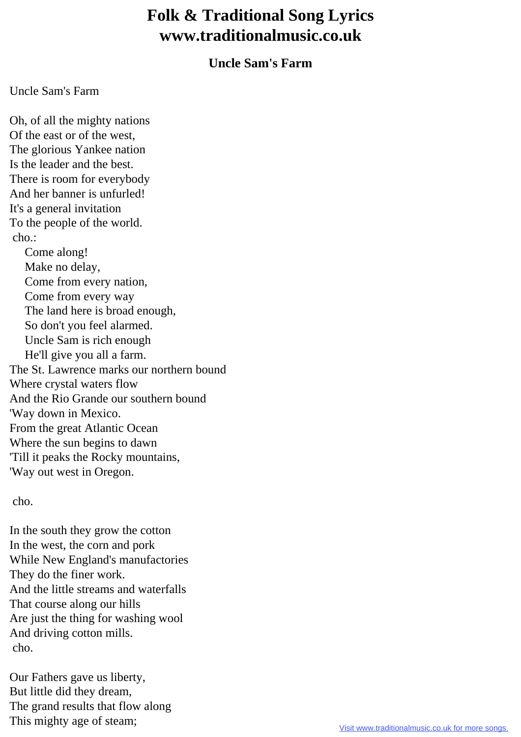## **Folk & Traditional Song Lyrics www.traditionalmusic.co.uk**

## **Uncle Sam's Farm**

## Uncle Sam's Farm

Oh, of all the mighty nations Of the east or of the west, The glorious Yankee nation Is the leader and the best. There is room for everybody And her banner is unfurled! It's a general invitation To the people of the world. cho.: Come along! Make no delay, Come from every nation, Come from every way The land here is broad enough, So don't you feel alarmed. Uncle Sam is rich enough He'll give you all a farm. The St. Lawrence marks our northern bound Where crystal waters flow And the Rio Grande our southern bound 'Way down in Mexico. From the great Atlantic Ocean Where the sun begins to dawn 'Till it peaks the Rocky mountains, 'Way out west in Oregon.

## cho.

In the south they grow the cotton In the west, the corn and pork While New England's manufactories They do the finer work. And the little streams and waterfalls That course along our hills Are just the thing for washing wool And driving cotton mills. cho.

Our Fathers gave us liberty, But little did they dream, The grand results that flow along This mighty age of steam;